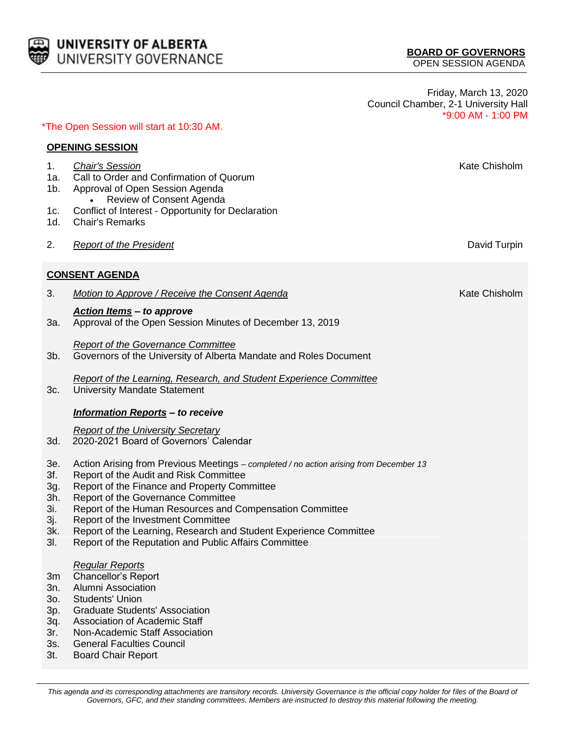\*The Open Session will start at 10:30 AM.

Friday, March 13, 2020 Council Chamber, 2-1 University Hall \*9:00 AM - 1:00 PM

| <b>OPENING SESSION</b> |                                                     |                                                                                                                                                                                                                                                                                          |               |
|------------------------|-----------------------------------------------------|------------------------------------------------------------------------------------------------------------------------------------------------------------------------------------------------------------------------------------------------------------------------------------------|---------------|
|                        | 1.<br>1a.<br>$1b$ .                                 | <b>Chair's Session</b><br>Call to Order and Confirmation of Quorum<br>Approval of Open Session Agenda<br>Review of Consent Agenda                                                                                                                                                        | Kate Chisholm |
|                        | 1c.<br>1d.                                          | Conflict of Interest - Opportunity for Declaration<br><b>Chair's Remarks</b>                                                                                                                                                                                                             |               |
|                        | 2.                                                  | <b>Report of the President</b>                                                                                                                                                                                                                                                           | David Turpin  |
|                        |                                                     | <b>CONSENT AGENDA</b>                                                                                                                                                                                                                                                                    |               |
|                        | 3.                                                  | <b>Motion to Approve / Receive the Consent Agenda</b>                                                                                                                                                                                                                                    | Kate Chisholm |
|                        | 3a.                                                 | <b>Action Items - to approve</b><br>Approval of the Open Session Minutes of December 13, 2019                                                                                                                                                                                            |               |
|                        | 3b.                                                 | <b>Report of the Governance Committee</b><br>Governors of the University of Alberta Mandate and Roles Document                                                                                                                                                                           |               |
|                        | 3c.                                                 | Report of the Learning, Research, and Student Experience Committee<br><b>University Mandate Statement</b>                                                                                                                                                                                |               |
|                        |                                                     | <b>Information Reports - to receive</b>                                                                                                                                                                                                                                                  |               |
|                        | 3d.                                                 | <b>Report of the University Secretary</b><br>2020-2021 Board of Governors' Calendar                                                                                                                                                                                                      |               |
|                        | 3e.<br>3f.                                          | Action Arising from Previous Meetings - completed / no action arising from December 13<br>Report of the Audit and Risk Committee                                                                                                                                                         |               |
|                        | 3g.<br>3h.                                          | Report of the Finance and Property Committee<br>Report of the Governance Committee                                                                                                                                                                                                       |               |
|                        | 3i.<br>3j.                                          | Report of the Human Resources and Compensation Committee<br>Report of the Investment Committee                                                                                                                                                                                           |               |
|                        | 3k.<br>3I.                                          | Report of the Learning, Research and Student Experience Committee<br>Report of the Reputation and Public Affairs Committee                                                                                                                                                               |               |
|                        | 3m<br>3n.<br>30.<br>3p.<br>3q.<br>3r.<br>3s.<br>3t. | <b>Regular Reports</b><br><b>Chancellor's Report</b><br>Alumni Association<br><b>Students' Union</b><br><b>Graduate Students' Association</b><br><b>Association of Academic Staff</b><br>Non-Academic Staff Association<br><b>General Faculties Council</b><br><b>Board Chair Report</b> |               |